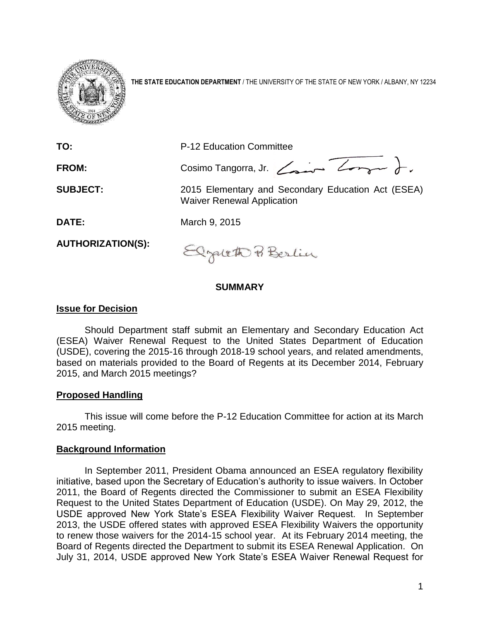

**THE STATE EDUCATION DEPARTMENT** / THE UNIVERSITY OF THE STATE OF NEW YORK / ALBANY, NY 12234

| TO:                      | P-12 Education Committee                                                                |
|--------------------------|-----------------------------------------------------------------------------------------|
|                          |                                                                                         |
| <b>FROM:</b>             | Cosimo Tangorra, Jr. Comme Longue                                                       |
| <b>SUBJECT:</b>          | 2015 Elementary and Secondary Education Act (ESEA)<br><b>Waiver Renewal Application</b> |
| <b>DATE:</b>             | March 9, 2015                                                                           |
| <b>AUTHORIZATION(S):</b> | Onglitto Berlin                                                                         |

#### **SUMMARY**

#### **Issue for Decision**

Should Department staff submit an Elementary and Secondary Education Act (ESEA) Waiver Renewal Request to the United States Department of Education (USDE), covering the 2015-16 through 2018-19 school years, and related amendments, based on materials provided to the Board of Regents at its December 2014, February 2015, and March 2015 meetings?

#### **Proposed Handling**

This issue will come before the P-12 Education Committee for action at its March 2015 meeting.

## **Background Information**

In September 2011, President Obama announced an ESEA regulatory flexibility initiative, based upon the Secretary of Education's authority to issue waivers. In October 2011, the Board of Regents directed the Commissioner to submit an ESEA Flexibility Request to the United States Department of Education (USDE). On May 29, 2012, the USDE approved New York State's ESEA Flexibility Waiver Request. In September 2013, the USDE offered states with approved ESEA Flexibility Waivers the opportunity to renew those waivers for the 2014-15 school year. At its February 2014 meeting, the Board of Regents directed the Department to submit its ESEA Renewal Application. On July 31, 2014, USDE approved New York State's ESEA Waiver Renewal Request for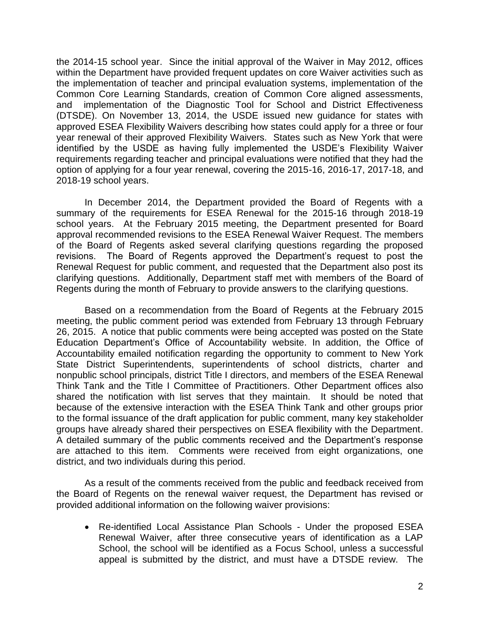the 2014-15 school year. Since the initial approval of the Waiver in May 2012, offices within the Department have provided frequent updates on core Waiver activities such as the implementation of teacher and principal evaluation systems, implementation of the Common Core Learning Standards, creation of Common Core aligned assessments, and implementation of the Diagnostic Tool for School and District Effectiveness (DTSDE). On November 13, 2014, the USDE issued new guidance for states with approved ESEA Flexibility Waivers describing how states could apply for a three or four year renewal of their approved Flexibility Waivers. States such as New York that were identified by the USDE as having fully implemented the USDE's Flexibility Waiver requirements regarding teacher and principal evaluations were notified that they had the option of applying for a four year renewal, covering the 2015-16, 2016-17, 2017-18, and 2018-19 school years.

In December 2014, the Department provided the Board of Regents with a summary of the requirements for ESEA Renewal for the 2015-16 through 2018-19 school years. At the February 2015 meeting, the Department presented for Board approval recommended revisions to the ESEA Renewal Waiver Request. The members of the Board of Regents asked several clarifying questions regarding the proposed revisions. The Board of Regents approved the Department's request to post the Renewal Request for public comment, and requested that the Department also post its clarifying questions. Additionally, Department staff met with members of the Board of Regents during the month of February to provide answers to the clarifying questions.

Based on a recommendation from the Board of Regents at the February 2015 meeting, the public comment period was extended from February 13 through February 26, 2015. A notice that public comments were being accepted was posted on the State Education Department's Office of Accountability website. In addition, the Office of Accountability emailed notification regarding the opportunity to comment to New York State District Superintendents, superintendents of school districts, charter and nonpublic school principals, district Title I directors, and members of the ESEA Renewal Think Tank and the Title I Committee of Practitioners. Other Department offices also shared the notification with list serves that they maintain. It should be noted that because of the extensive interaction with the ESEA Think Tank and other groups prior to the formal issuance of the draft application for public comment, many key stakeholder groups have already shared their perspectives on ESEA flexibility with the Department. A detailed summary of the public comments received and the Department's response are attached to this item. Comments were received from eight organizations, one district, and two individuals during this period.

As a result of the comments received from the public and feedback received from the Board of Regents on the renewal waiver request, the Department has revised or provided additional information on the following waiver provisions:

 Re-identified Local Assistance Plan Schools - Under the proposed ESEA Renewal Waiver, after three consecutive years of identification as a LAP School, the school will be identified as a Focus School, unless a successful appeal is submitted by the district, and must have a DTSDE review. The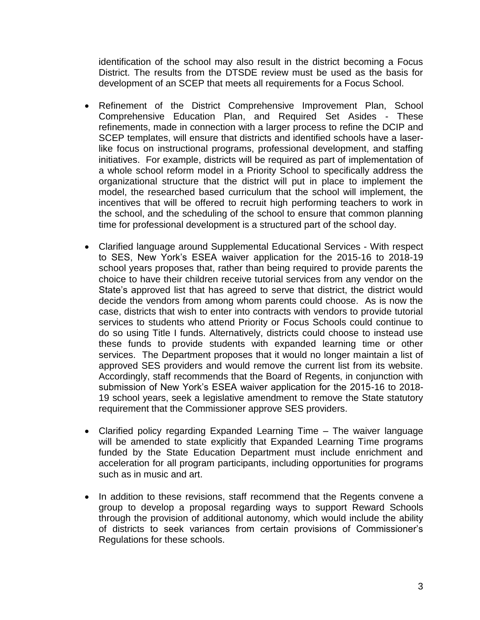identification of the school may also result in the district becoming a Focus District. The results from the DTSDE review must be used as the basis for development of an SCEP that meets all requirements for a Focus School.

- Refinement of the District Comprehensive Improvement Plan, School Comprehensive Education Plan, and Required Set Asides - These refinements, made in connection with a larger process to refine the DCIP and SCEP templates, will ensure that districts and identified schools have a laserlike focus on instructional programs, professional development, and staffing initiatives. For example, districts will be required as part of implementation of a whole school reform model in a Priority School to specifically address the organizational structure that the district will put in place to implement the model, the researched based curriculum that the school will implement, the incentives that will be offered to recruit high performing teachers to work in the school, and the scheduling of the school to ensure that common planning time for professional development is a structured part of the school day.
- Clarified language around Supplemental Educational Services With respect to SES, New York's ESEA waiver application for the 2015-16 to 2018-19 school years proposes that, rather than being required to provide parents the choice to have their children receive tutorial services from any vendor on the State's approved list that has agreed to serve that district, the district would decide the vendors from among whom parents could choose. As is now the case, districts that wish to enter into contracts with vendors to provide tutorial services to students who attend Priority or Focus Schools could continue to do so using Title I funds. Alternatively, districts could choose to instead use these funds to provide students with expanded learning time or other services. The Department proposes that it would no longer maintain a list of approved SES providers and would remove the current list from its website. Accordingly, staff recommends that the Board of Regents, in conjunction with submission of New York's ESEA waiver application for the 2015-16 to 2018- 19 school years, seek a legislative amendment to remove the State statutory requirement that the Commissioner approve SES providers.
- Clarified policy regarding Expanded Learning Time The waiver language will be amended to state explicitly that Expanded Learning Time programs funded by the State Education Department must include enrichment and acceleration for all program participants, including opportunities for programs such as in music and art.
- In addition to these revisions, staff recommend that the Regents convene a group to develop a proposal regarding ways to support Reward Schools through the provision of additional autonomy, which would include the ability of districts to seek variances from certain provisions of Commissioner's Regulations for these schools.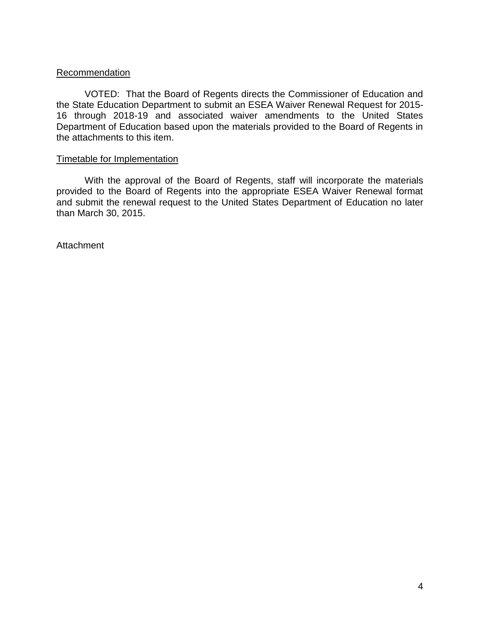#### **Recommendation**

VOTED: That the Board of Regents directs the Commissioner of Education and the State Education Department to submit an ESEA Waiver Renewal Request for 2015- 16 through 2018-19 and associated waiver amendments to the United States Department of Education based upon the materials provided to the Board of Regents in the attachments to this item.

#### Timetable for Implementation

With the approval of the Board of Regents, staff will incorporate the materials provided to the Board of Regents into the appropriate ESEA Waiver Renewal format and submit the renewal request to the United States Department of Education no later than March 30, 2015.

**Attachment**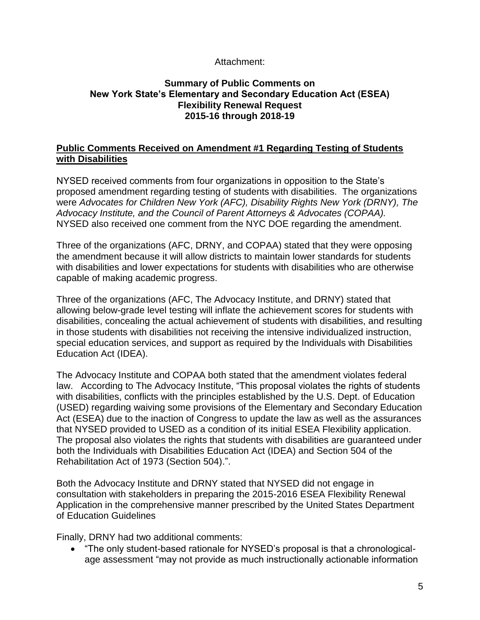## Attachment:

## **Summary of Public Comments on New York State's Elementary and Secondary Education Act (ESEA) Flexibility Renewal Request 2015-16 through 2018-19**

## **Public Comments Received on Amendment #1 Regarding Testing of Students with Disabilities**

NYSED received comments from four organizations in opposition to the State's proposed amendment regarding testing of students with disabilities. The organizations were *Advocates for Children New York (AFC), Disability Rights New York (DRNY), The Advocacy Institute, and the Council of Parent Attorneys & Advocates (COPAA).*  NYSED also received one comment from the NYC DOE regarding the amendment.

Three of the organizations (AFC, DRNY, and COPAA) stated that they were opposing the amendment because it will allow districts to maintain lower standards for students with disabilities and lower expectations for students with disabilities who are otherwise capable of making academic progress.

Three of the organizations (AFC, The Advocacy Institute, and DRNY) stated that allowing below-grade level testing will inflate the achievement scores for students with disabilities, concealing the actual achievement of students with disabilities, and resulting in those students with disabilities not receiving the intensive individualized instruction, special education services, and support as required by the Individuals with Disabilities Education Act (IDEA).

The Advocacy Institute and COPAA both stated that the amendment violates federal law. According to The Advocacy Institute, "This proposal violates the rights of students with disabilities, conflicts with the principles established by the U.S. Dept. of Education (USED) regarding waiving some provisions of the Elementary and Secondary Education Act (ESEA) due to the inaction of Congress to update the law as well as the assurances that NYSED provided to USED as a condition of its initial ESEA Flexibility application. The proposal also violates the rights that students with disabilities are guaranteed under both the Individuals with Disabilities Education Act (IDEA) and Section 504 of the Rehabilitation Act of 1973 (Section 504).".

Both the Advocacy Institute and DRNY stated that NYSED did not engage in consultation with stakeholders in preparing the 2015-2016 ESEA Flexibility Renewal Application in the comprehensive manner prescribed by the United States Department of Education Guidelines

Finally, DRNY had two additional comments:

 "The only student-based rationale for NYSED's proposal is that a chronologicalage assessment "may not provide as much instructionally actionable information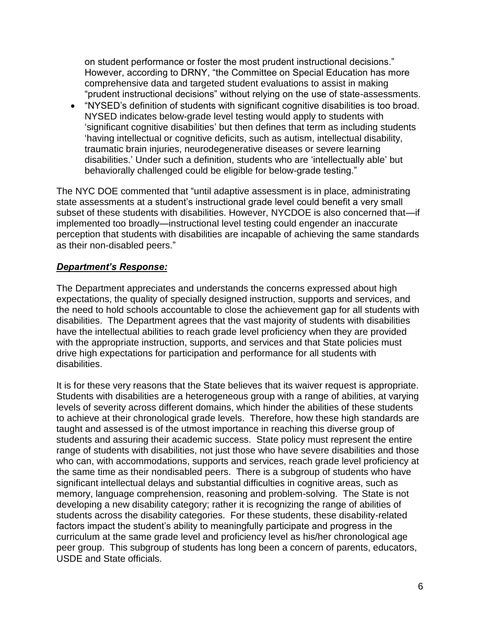on student performance or foster the most prudent instructional decisions." However, according to DRNY, "the Committee on Special Education has more comprehensive data and targeted student evaluations to assist in making "prudent instructional decisions" without relying on the use of state-assessments.

 "NYSED's definition of students with significant cognitive disabilities is too broad. NYSED indicates below-grade level testing would apply to students with 'significant cognitive disabilities' but then defines that term as including students 'having intellectual or cognitive deficits, such as autism, intellectual disability, traumatic brain injuries, neurodegenerative diseases or severe learning disabilities.' Under such a definition, students who are 'intellectually able' but behaviorally challenged could be eligible for below-grade testing."

The NYC DOE commented that "until adaptive assessment is in place, administrating state assessments at a student's instructional grade level could benefit a very small subset of these students with disabilities. However, NYCDOE is also concerned that—if implemented too broadly—instructional level testing could engender an inaccurate perception that students with disabilities are incapable of achieving the same standards as their non-disabled peers."

# *Department's Response:*

The Department appreciates and understands the concerns expressed about high expectations, the quality of specially designed instruction, supports and services, and the need to hold schools accountable to close the achievement gap for all students with disabilities. The Department agrees that the vast majority of students with disabilities have the intellectual abilities to reach grade level proficiency when they are provided with the appropriate instruction, supports, and services and that State policies must drive high expectations for participation and performance for all students with disabilities.

It is for these very reasons that the State believes that its waiver request is appropriate. Students with disabilities are a heterogeneous group with a range of abilities, at varying levels of severity across different domains, which hinder the abilities of these students to achieve at their chronological grade levels. Therefore, how these high standards are taught and assessed is of the utmost importance in reaching this diverse group of students and assuring their academic success. State policy must represent the entire range of students with disabilities, not just those who have severe disabilities and those who can, with accommodations, supports and services, reach grade level proficiency at the same time as their nondisabled peers. There is a subgroup of students who have significant intellectual delays and substantial difficulties in cognitive areas, such as memory, language comprehension, reasoning and problem-solving. The State is not developing a new disability category; rather it is recognizing the range of abilities of students across the disability categories. For these students, these disability-related factors impact the student's ability to meaningfully participate and progress in the curriculum at the same grade level and proficiency level as his/her chronological age peer group. This subgroup of students has long been a concern of parents, educators, USDE and State officials.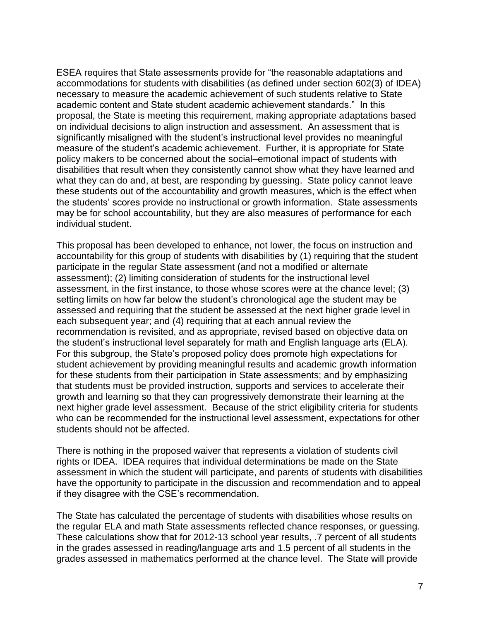ESEA requires that State assessments provide for "the reasonable adaptations and accommodations for students with disabilities (as defined under section 602(3) of IDEA) necessary to measure the academic achievement of such students relative to State academic content and State student academic achievement standards." In this proposal, the State is meeting this requirement, making appropriate adaptations based on individual decisions to align instruction and assessment. An assessment that is significantly misaligned with the student's instructional level provides no meaningful measure of the student's academic achievement. Further, it is appropriate for State policy makers to be concerned about the social–emotional impact of students with disabilities that result when they consistently cannot show what they have learned and what they can do and, at best, are responding by guessing. State policy cannot leave these students out of the accountability and growth measures, which is the effect when the students' scores provide no instructional or growth information. State assessments may be for school accountability, but they are also measures of performance for each individual student.

This proposal has been developed to enhance, not lower, the focus on instruction and accountability for this group of students with disabilities by (1) requiring that the student participate in the regular State assessment (and not a modified or alternate assessment); (2) limiting consideration of students for the instructional level assessment, in the first instance, to those whose scores were at the chance level; (3) setting limits on how far below the student's chronological age the student may be assessed and requiring that the student be assessed at the next higher grade level in each subsequent year; and (4) requiring that at each annual review the recommendation is revisited, and as appropriate, revised based on objective data on the student's instructional level separately for math and English language arts (ELA). For this subgroup, the State's proposed policy does promote high expectations for student achievement by providing meaningful results and academic growth information for these students from their participation in State assessments; and by emphasizing that students must be provided instruction, supports and services to accelerate their growth and learning so that they can progressively demonstrate their learning at the next higher grade level assessment. Because of the strict eligibility criteria for students who can be recommended for the instructional level assessment, expectations for other students should not be affected.

There is nothing in the proposed waiver that represents a violation of students civil rights or IDEA. IDEA requires that individual determinations be made on the State assessment in which the student will participate, and parents of students with disabilities have the opportunity to participate in the discussion and recommendation and to appeal if they disagree with the CSE's recommendation.

The State has calculated the percentage of students with disabilities whose results on the regular ELA and math State assessments reflected chance responses, or guessing. These calculations show that for 2012-13 school year results, .7 percent of all students in the grades assessed in reading/language arts and 1.5 percent of all students in the grades assessed in mathematics performed at the chance level. The State will provide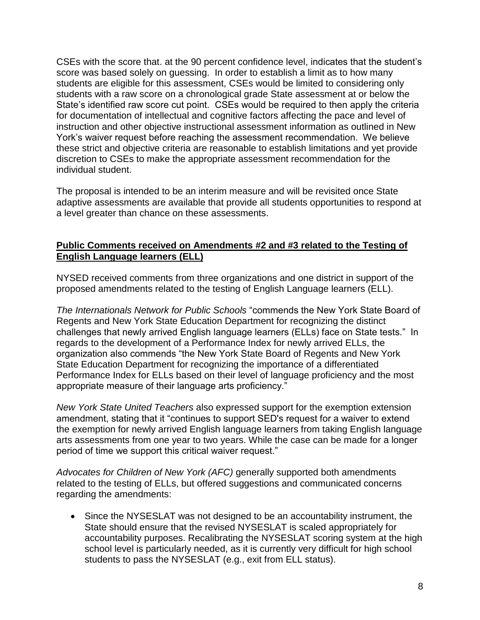CSEs with the score that. at the 90 percent confidence level, indicates that the student's score was based solely on guessing. In order to establish a limit as to how many students are eligible for this assessment, CSEs would be limited to considering only students with a raw score on a chronological grade State assessment at or below the State's identified raw score cut point. CSEs would be required to then apply the criteria for documentation of intellectual and cognitive factors affecting the pace and level of instruction and other objective instructional assessment information as outlined in New York's waiver request before reaching the assessment recommendation. We believe these strict and objective criteria are reasonable to establish limitations and yet provide discretion to CSEs to make the appropriate assessment recommendation for the individual student.

The proposal is intended to be an interim measure and will be revisited once State adaptive assessments are available that provide all students opportunities to respond at a level greater than chance on these assessments.

## **Public Comments received on Amendments #2 and #3 related to the Testing of English Language learners (ELL)**

NYSED received comments from three organizations and one district in support of the proposed amendments related to the testing of English Language learners (ELL).

*The Internationals Network for Public Schools* "commends the New York State Board of Regents and New York State Education Department for recognizing the distinct challenges that newly arrived English language learners (ELLs) face on State tests." In regards to the development of a Performance Index for newly arrived ELLs, the organization also commends "the New York State Board of Regents and New York State Education Department for recognizing the importance of a differentiated Performance Index for ELLs based on their level of language proficiency and the most appropriate measure of their language arts proficiency."

*New York State United Teachers* also expressed support for the exemption extension amendment, stating that it "continues to support SED's request for a waiver to extend the exemption for newly arrived English language learners from taking English language arts assessments from one year to two years. While the case can be made for a longer period of time we support this critical waiver request."

*Advocates for Children of New York (AFC)* generally supported both amendments related to the testing of ELLs, but offered suggestions and communicated concerns regarding the amendments:

 Since the NYSESLAT was not designed to be an accountability instrument, the State should ensure that the revised NYSESLAT is scaled appropriately for accountability purposes. Recalibrating the NYSESLAT scoring system at the high school level is particularly needed, as it is currently very difficult for high school students to pass the NYSESLAT (e.g., exit from ELL status).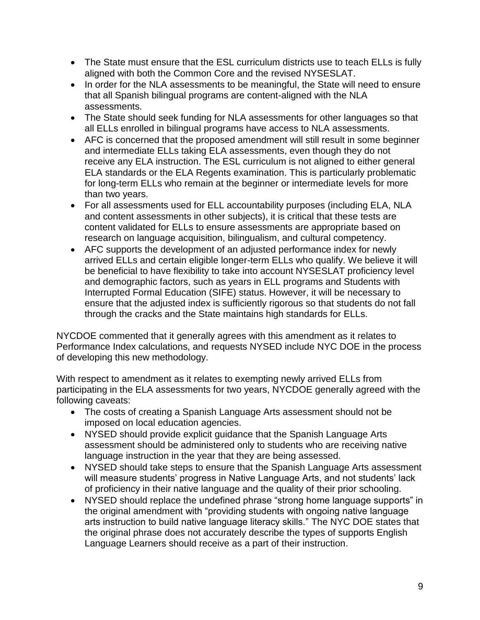- The State must ensure that the ESL curriculum districts use to teach ELLs is fully aligned with both the Common Core and the revised NYSESLAT.
- In order for the NLA assessments to be meaningful, the State will need to ensure that all Spanish bilingual programs are content-aligned with the NLA assessments.
- The State should seek funding for NLA assessments for other languages so that all ELLs enrolled in bilingual programs have access to NLA assessments.
- AFC is concerned that the proposed amendment will still result in some beginner and intermediate ELLs taking ELA assessments, even though they do not receive any ELA instruction. The ESL curriculum is not aligned to either general ELA standards or the ELA Regents examination. This is particularly problematic for long-term ELLs who remain at the beginner or intermediate levels for more than two years.
- For all assessments used for ELL accountability purposes (including ELA, NLA and content assessments in other subjects), it is critical that these tests are content validated for ELLs to ensure assessments are appropriate based on research on language acquisition, bilingualism, and cultural competency.
- AFC supports the development of an adjusted performance index for newly arrived ELLs and certain eligible longer-term ELLs who qualify. We believe it will be beneficial to have flexibility to take into account NYSESLAT proficiency level and demographic factors, such as years in ELL programs and Students with Interrupted Formal Education (SIFE) status. However, it will be necessary to ensure that the adjusted index is sufficiently rigorous so that students do not fall through the cracks and the State maintains high standards for ELLs.

NYCDOE commented that it generally agrees with this amendment as it relates to Performance Index calculations, and requests NYSED include NYC DOE in the process of developing this new methodology.

With respect to amendment as it relates to exempting newly arrived ELLs from participating in the ELA assessments for two years, NYCDOE generally agreed with the following caveats:

- The costs of creating a Spanish Language Arts assessment should not be imposed on local education agencies.
- NYSED should provide explicit guidance that the Spanish Language Arts assessment should be administered only to students who are receiving native language instruction in the year that they are being assessed.
- NYSED should take steps to ensure that the Spanish Language Arts assessment will measure students' progress in Native Language Arts, and not students' lack of proficiency in their native language and the quality of their prior schooling.
- NYSED should replace the undefined phrase "strong home language supports" in the original amendment with "providing students with ongoing native language arts instruction to build native language literacy skills." The NYC DOE states that the original phrase does not accurately describe the types of supports English Language Learners should receive as a part of their instruction.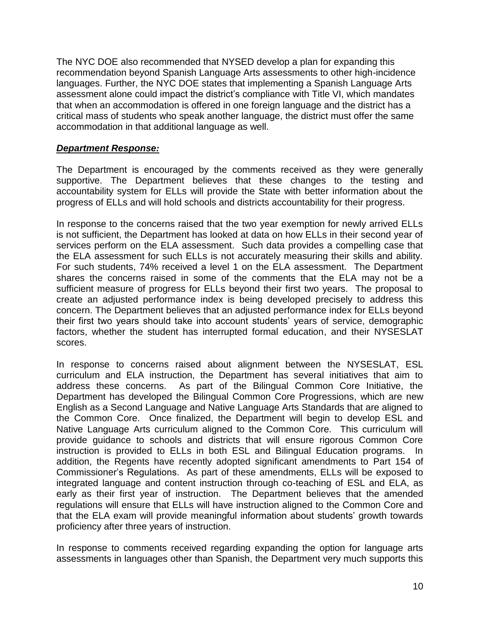The NYC DOE also recommended that NYSED develop a plan for expanding this recommendation beyond Spanish Language Arts assessments to other high-incidence languages. Further, the NYC DOE states that implementing a Spanish Language Arts assessment alone could impact the district's compliance with Title VI, which mandates that when an accommodation is offered in one foreign language and the district has a critical mass of students who speak another language, the district must offer the same accommodation in that additional language as well.

## *Department Response:*

The Department is encouraged by the comments received as they were generally supportive. The Department believes that these changes to the testing and accountability system for ELLs will provide the State with better information about the progress of ELLs and will hold schools and districts accountability for their progress.

In response to the concerns raised that the two year exemption for newly arrived ELLs is not sufficient, the Department has looked at data on how ELLs in their second year of services perform on the ELA assessment. Such data provides a compelling case that the ELA assessment for such ELLs is not accurately measuring their skills and ability. For such students, 74% received a level 1 on the ELA assessment. The Department shares the concerns raised in some of the comments that the ELA may not be a sufficient measure of progress for ELLs beyond their first two years. The proposal to create an adjusted performance index is being developed precisely to address this concern. The Department believes that an adjusted performance index for ELLs beyond their first two years should take into account students' years of service, demographic factors, whether the student has interrupted formal education, and their NYSESLAT scores.

In response to concerns raised about alignment between the NYSESLAT, ESL curriculum and ELA instruction, the Department has several initiatives that aim to address these concerns. As part of the Bilingual Common Core Initiative, the Department has developed the Bilingual Common Core Progressions, which are new English as a Second Language and Native Language Arts Standards that are aligned to the Common Core. Once finalized, the Department will begin to develop ESL and Native Language Arts curriculum aligned to the Common Core. This curriculum will provide guidance to schools and districts that will ensure rigorous Common Core instruction is provided to ELLs in both ESL and Bilingual Education programs. In addition, the Regents have recently adopted significant amendments to Part 154 of Commissioner's Regulations. As part of these amendments, ELLs will be exposed to integrated language and content instruction through co-teaching of ESL and ELA, as early as their first year of instruction. The Department believes that the amended regulations will ensure that ELLs will have instruction aligned to the Common Core and that the ELA exam will provide meaningful information about students' growth towards proficiency after three years of instruction.

In response to comments received regarding expanding the option for language arts assessments in languages other than Spanish, the Department very much supports this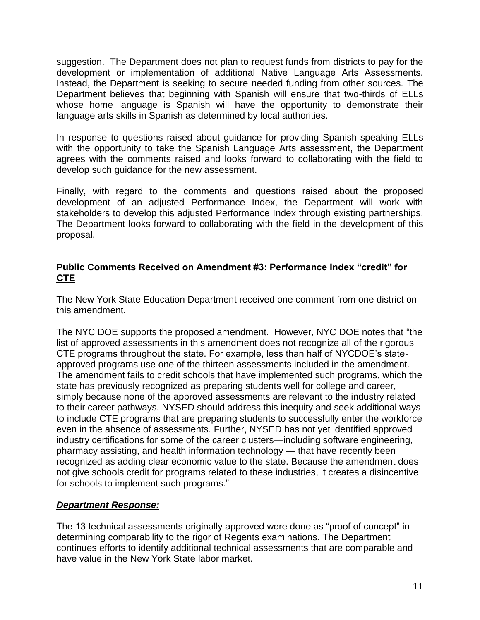suggestion. The Department does not plan to request funds from districts to pay for the development or implementation of additional Native Language Arts Assessments. Instead, the Department is seeking to secure needed funding from other sources. The Department believes that beginning with Spanish will ensure that two-thirds of ELLs whose home language is Spanish will have the opportunity to demonstrate their language arts skills in Spanish as determined by local authorities.

In response to questions raised about guidance for providing Spanish-speaking ELLs with the opportunity to take the Spanish Language Arts assessment, the Department agrees with the comments raised and looks forward to collaborating with the field to develop such guidance for the new assessment.

Finally, with regard to the comments and questions raised about the proposed development of an adjusted Performance Index, the Department will work with stakeholders to develop this adjusted Performance Index through existing partnerships. The Department looks forward to collaborating with the field in the development of this proposal.

# **Public Comments Received on Amendment #3: Performance Index "credit" for CTE**

The New York State Education Department received one comment from one district on this amendment.

The NYC DOE supports the proposed amendment. However, NYC DOE notes that "the list of approved assessments in this amendment does not recognize all of the rigorous CTE programs throughout the state. For example, less than half of NYCDOE's stateapproved programs use one of the thirteen assessments included in the amendment. The amendment fails to credit schools that have implemented such programs, which the state has previously recognized as preparing students well for college and career, simply because none of the approved assessments are relevant to the industry related to their career pathways. NYSED should address this inequity and seek additional ways to include CTE programs that are preparing students to successfully enter the workforce even in the absence of assessments. Further, NYSED has not yet identified approved industry certifications for some of the career clusters—including software engineering, pharmacy assisting, and health information technology — that have recently been recognized as adding clear economic value to the state. Because the amendment does not give schools credit for programs related to these industries, it creates a disincentive for schools to implement such programs."

# *Department Response:*

The 13 technical assessments originally approved were done as "proof of concept" in determining comparability to the rigor of Regents examinations. The Department continues efforts to identify additional technical assessments that are comparable and have value in the New York State labor market.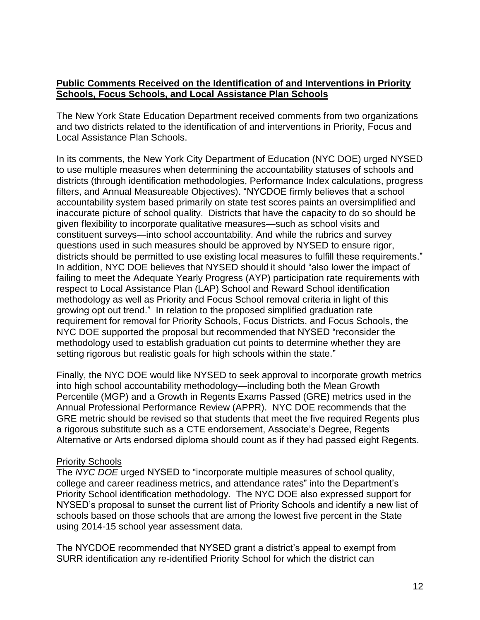## **Public Comments Received on the Identification of and Interventions in Priority Schools, Focus Schools, and Local Assistance Plan Schools**

The New York State Education Department received comments from two organizations and two districts related to the identification of and interventions in Priority, Focus and Local Assistance Plan Schools.

In its comments, the New York City Department of Education (NYC DOE) urged NYSED to use multiple measures when determining the accountability statuses of schools and districts (through identification methodologies, Performance Index calculations, progress filters, and Annual Measureable Objectives). "NYCDOE firmly believes that a school accountability system based primarily on state test scores paints an oversimplified and inaccurate picture of school quality. Districts that have the capacity to do so should be given flexibility to incorporate qualitative measures—such as school visits and constituent surveys—into school accountability. And while the rubrics and survey questions used in such measures should be approved by NYSED to ensure rigor, districts should be permitted to use existing local measures to fulfill these requirements." In addition, NYC DOE believes that NYSED should it should "also lower the impact of failing to meet the Adequate Yearly Progress (AYP) participation rate requirements with respect to Local Assistance Plan (LAP) School and Reward School identification methodology as well as Priority and Focus School removal criteria in light of this growing opt out trend." In relation to the proposed simplified graduation rate requirement for removal for Priority Schools, Focus Districts, and Focus Schools, the NYC DOE supported the proposal but recommended that NYSED "reconsider the methodology used to establish graduation cut points to determine whether they are setting rigorous but realistic goals for high schools within the state."

Finally, the NYC DOE would like NYSED to seek approval to incorporate growth metrics into high school accountability methodology—including both the Mean Growth Percentile (MGP) and a Growth in Regents Exams Passed (GRE) metrics used in the Annual Professional Performance Review (APPR). NYC DOE recommends that the GRE metric should be revised so that students that meet the five required Regents plus a rigorous substitute such as a CTE endorsement, Associate's Degree, Regents Alternative or Arts endorsed diploma should count as if they had passed eight Regents.

## Priority Schools

The *NYC DOE* urged NYSED to "incorporate multiple measures of school quality, college and career readiness metrics, and attendance rates" into the Department's Priority School identification methodology. The NYC DOE also expressed support for NYSED's proposal to sunset the current list of Priority Schools and identify a new list of schools based on those schools that are among the lowest five percent in the State using 2014-15 school year assessment data.

The NYCDOE recommended that NYSED grant a district's appeal to exempt from SURR identification any re-identified Priority School for which the district can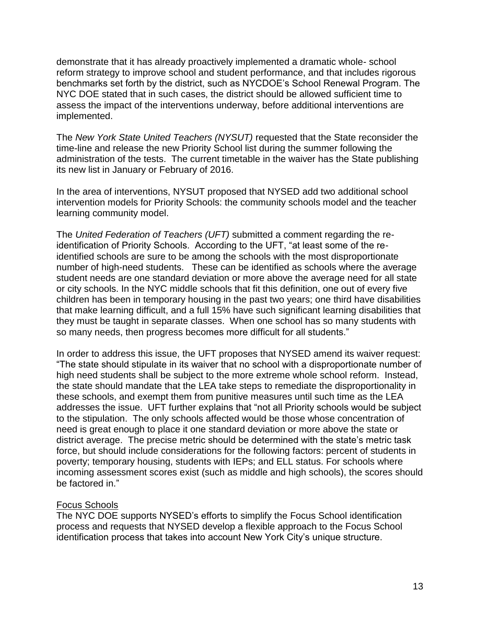demonstrate that it has already proactively implemented a dramatic whole- school reform strategy to improve school and student performance, and that includes rigorous benchmarks set forth by the district, such as NYCDOE's School Renewal Program. The NYC DOE stated that in such cases, the district should be allowed sufficient time to assess the impact of the interventions underway, before additional interventions are implemented.

The *New York State United Teachers (NYSUT)* requested that the State reconsider the time-line and release the new Priority School list during the summer following the administration of the tests. The current timetable in the waiver has the State publishing its new list in January or February of 2016.

In the area of interventions, NYSUT proposed that NYSED add two additional school intervention models for Priority Schools: the community schools model and the teacher learning community model.

The *United Federation of Teachers (UFT)* submitted a comment regarding the reidentification of Priority Schools. According to the UFT, "at least some of the reidentified schools are sure to be among the schools with the most disproportionate number of high-need students. These can be identified as schools where the average student needs are one standard deviation or more above the average need for all state or city schools. In the NYC middle schools that fit this definition, one out of every five children has been in temporary housing in the past two years; one third have disabilities that make learning difficult, and a full 15% have such significant learning disabilities that they must be taught in separate classes. When one school has so many students with so many needs, then progress becomes more difficult for all students."

In order to address this issue, the UFT proposes that NYSED amend its waiver request: "The state should stipulate in its waiver that no school with a disproportionate number of high need students shall be subject to the more extreme whole school reform. Instead, the state should mandate that the LEA take steps to remediate the disproportionality in these schools, and exempt them from punitive measures until such time as the LEA addresses the issue. UFT further explains that "not all Priority schools would be subject to the stipulation. The only schools affected would be those whose concentration of need is great enough to place it one standard deviation or more above the state or district average. The precise metric should be determined with the state's metric task force, but should include considerations for the following factors: percent of students in poverty; temporary housing, students with IEPs; and ELL status. For schools where incoming assessment scores exist (such as middle and high schools), the scores should be factored in."

## Focus Schools

The NYC DOE supports NYSED's efforts to simplify the Focus School identification process and requests that NYSED develop a flexible approach to the Focus School identification process that takes into account New York City's unique structure.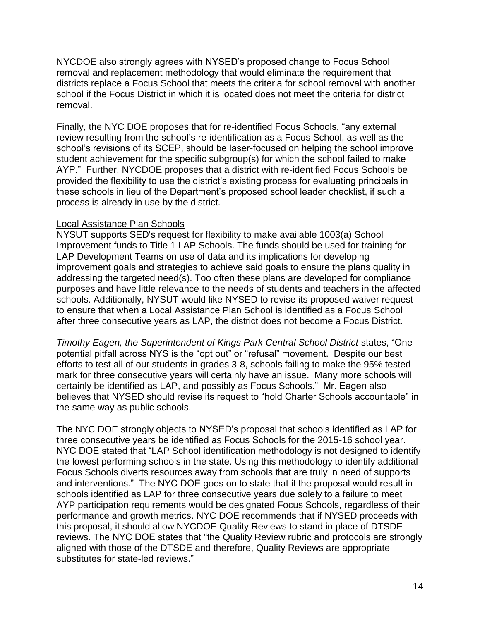NYCDOE also strongly agrees with NYSED's proposed change to Focus School removal and replacement methodology that would eliminate the requirement that districts replace a Focus School that meets the criteria for school removal with another school if the Focus District in which it is located does not meet the criteria for district removal.

Finally, the NYC DOE proposes that for re-identified Focus Schools, "any external review resulting from the school's re-identification as a Focus School, as well as the school's revisions of its SCEP, should be laser-focused on helping the school improve student achievement for the specific subgroup(s) for which the school failed to make AYP." Further, NYCDOE proposes that a district with re-identified Focus Schools be provided the flexibility to use the district's existing process for evaluating principals in these schools in lieu of the Department's proposed school leader checklist, if such a process is already in use by the district.

#### Local Assistance Plan Schools

NYSUT supports SED's request for flexibility to make available 1003(a) School Improvement funds to Title 1 LAP Schools. The funds should be used for training for LAP Development Teams on use of data and its implications for developing improvement goals and strategies to achieve said goals to ensure the plans quality in addressing the targeted need(s). Too often these plans are developed for compliance purposes and have little relevance to the needs of students and teachers in the affected schools. Additionally, NYSUT would like NYSED to revise its proposed waiver request to ensure that when a Local Assistance Plan School is identified as a Focus School after three consecutive years as LAP, the district does not become a Focus District.

*Timothy Eagen, the Superintendent of Kings Park Central School District* states, "One potential pitfall across NYS is the "opt out" or "refusal" movement. Despite our best efforts to test all of our students in grades 3-8, schools failing to make the 95% tested mark for three consecutive years will certainly have an issue. Many more schools will certainly be identified as LAP, and possibly as Focus Schools." Mr. Eagen also believes that NYSED should revise its request to "hold Charter Schools accountable" in the same way as public schools.

The NYC DOE strongly objects to NYSED's proposal that schools identified as LAP for three consecutive years be identified as Focus Schools for the 2015-16 school year. NYC DOE stated that "LAP School identification methodology is not designed to identify the lowest performing schools in the state. Using this methodology to identify additional Focus Schools diverts resources away from schools that are truly in need of supports and interventions." The NYC DOE goes on to state that it the proposal would result in schools identified as LAP for three consecutive years due solely to a failure to meet AYP participation requirements would be designated Focus Schools, regardless of their performance and growth metrics. NYC DOE recommends that if NYSED proceeds with this proposal, it should allow NYCDOE Quality Reviews to stand in place of DTSDE reviews. The NYC DOE states that "the Quality Review rubric and protocols are strongly aligned with those of the DTSDE and therefore, Quality Reviews are appropriate substitutes for state-led reviews."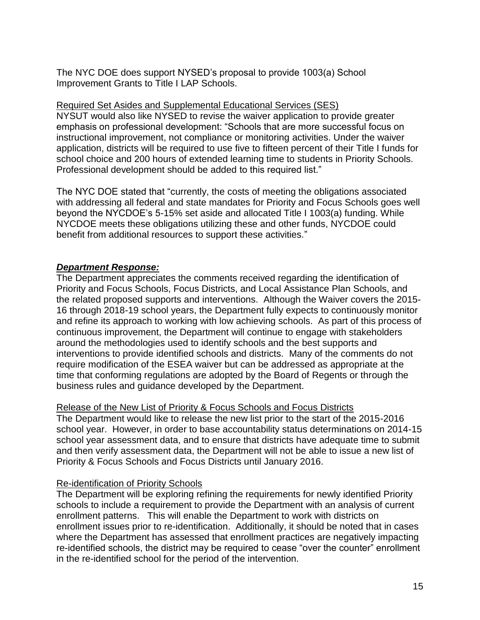The NYC DOE does support NYSED's proposal to provide 1003(a) School Improvement Grants to Title I LAP Schools.

## Required Set Asides and Supplemental Educational Services (SES)

NYSUT would also like NYSED to revise the waiver application to provide greater emphasis on professional development: "Schools that are more successful focus on instructional improvement, not compliance or monitoring activities. Under the waiver application, districts will be required to use five to fifteen percent of their Title I funds for school choice and 200 hours of extended learning time to students in Priority Schools. Professional development should be added to this required list."

The NYC DOE stated that "currently, the costs of meeting the obligations associated with addressing all federal and state mandates for Priority and Focus Schools goes well beyond the NYCDOE's 5-15% set aside and allocated Title I 1003(a) funding. While NYCDOE meets these obligations utilizing these and other funds, NYCDOE could benefit from additional resources to support these activities."

# *Department Response:*

The Department appreciates the comments received regarding the identification of Priority and Focus Schools, Focus Districts, and Local Assistance Plan Schools, and the related proposed supports and interventions. Although the Waiver covers the 2015- 16 through 2018-19 school years, the Department fully expects to continuously monitor and refine its approach to working with low achieving schools. As part of this process of continuous improvement, the Department will continue to engage with stakeholders around the methodologies used to identify schools and the best supports and interventions to provide identified schools and districts. Many of the comments do not require modification of the ESEA waiver but can be addressed as appropriate at the time that conforming regulations are adopted by the Board of Regents or through the business rules and guidance developed by the Department.

# Release of the New List of Priority & Focus Schools and Focus Districts

The Department would like to release the new list prior to the start of the 2015-2016 school year. However, in order to base accountability status determinations on 2014-15 school year assessment data, and to ensure that districts have adequate time to submit and then verify assessment data, the Department will not be able to issue a new list of Priority & Focus Schools and Focus Districts until January 2016.

# Re-identification of Priority Schools

The Department will be exploring refining the requirements for newly identified Priority schools to include a requirement to provide the Department with an analysis of current enrollment patterns. This will enable the Department to work with districts on enrollment issues prior to re-identification. Additionally, it should be noted that in cases where the Department has assessed that enrollment practices are negatively impacting re-identified schools, the district may be required to cease "over the counter" enrollment in the re-identified school for the period of the intervention.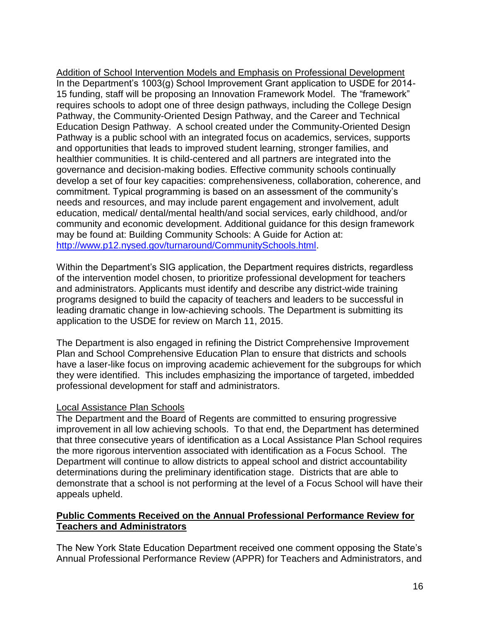Addition of School Intervention Models and Emphasis on Professional Development In the Department's 1003(g) School Improvement Grant application to USDE for 2014- 15 funding, staff will be proposing an Innovation Framework Model. The "framework" requires schools to adopt one of three design pathways, including the College Design Pathway, the Community-Oriented Design Pathway, and the Career and Technical Education Design Pathway. A school created under the Community-Oriented Design Pathway is a public school with an integrated focus on academics, services, supports and opportunities that leads to improved student learning, stronger families, and healthier communities. It is child-centered and all partners are integrated into the governance and decision-making bodies. Effective community schools continually develop a set of four key capacities: comprehensiveness, collaboration, coherence, and commitment. Typical programming is based on an assessment of the community's needs and resources, and may include parent engagement and involvement, adult education, medical/ dental/mental health/and social services, early childhood, and/or community and economic development. Additional guidance for this design framework may be found at: Building Community Schools: A Guide for Action at: [http://www.p12.nysed.gov/turnaround/CommunitySchools.html.](http://www.p12.nysed.gov/turnaround/CommunitySchools.html)

Within the Department's SIG application, the Department requires districts, regardless of the intervention model chosen, to prioritize professional development for teachers and administrators. Applicants must identify and describe any district-wide training programs designed to build the capacity of teachers and leaders to be successful in leading dramatic change in low-achieving schools. The Department is submitting its application to the USDE for review on March 11, 2015.

The Department is also engaged in refining the District Comprehensive Improvement Plan and School Comprehensive Education Plan to ensure that districts and schools have a laser-like focus on improving academic achievement for the subgroups for which they were identified. This includes emphasizing the importance of targeted, imbedded professional development for staff and administrators.

## Local Assistance Plan Schools

The Department and the Board of Regents are committed to ensuring progressive improvement in all low achieving schools. To that end, the Department has determined that three consecutive years of identification as a Local Assistance Plan School requires the more rigorous intervention associated with identification as a Focus School. The Department will continue to allow districts to appeal school and district accountability determinations during the preliminary identification stage. Districts that are able to demonstrate that a school is not performing at the level of a Focus School will have their appeals upheld.

## **Public Comments Received on the Annual Professional Performance Review for Teachers and Administrators**

The New York State Education Department received one comment opposing the State's Annual Professional Performance Review (APPR) for Teachers and Administrators, and